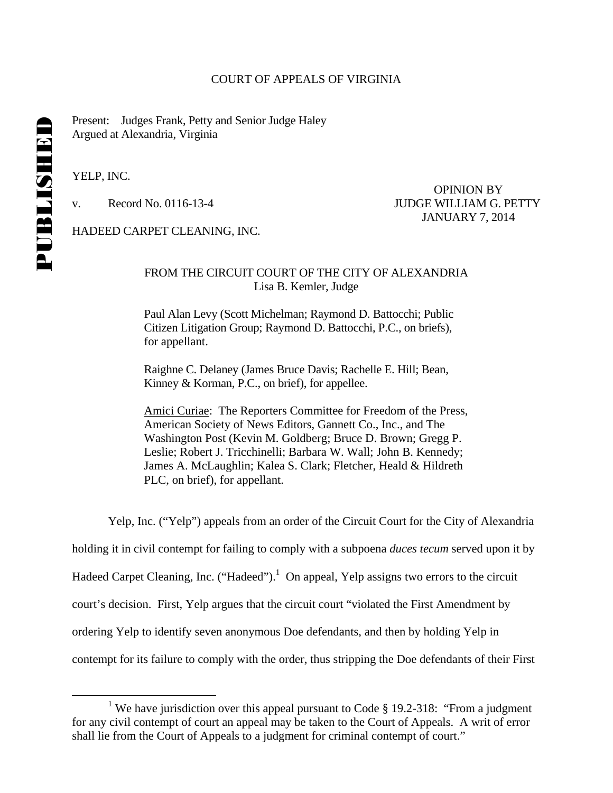#### COURT OF APPEALS OF VIRGINIA

Present: Judges Frank, Petty and Senior Judge Haley Argued at Alexandria, Virginia

YELP, INC.

 OPINION BY v. Record No. 0116-13-4 JUDGE WILLIAM G. PETTY JANUARY 7, 2014

HADEED CARPET CLEANING, INC.

# FROM THE CIRCUIT COURT OF THE CITY OF ALEXANDRIA Lisa B. Kemler, Judge

 Paul Alan Levy (Scott Michelman; Raymond D. Battocchi; Public Citizen Litigation Group; Raymond D. Battocchi, P.C., on briefs), for appellant.

 Raighne C. Delaney (James Bruce Davis; Rachelle E. Hill; Bean, Kinney & Korman, P.C., on brief), for appellee.

 Amici Curiae: The Reporters Committee for Freedom of the Press, American Society of News Editors, Gannett Co., Inc., and The Washington Post (Kevin M. Goldberg; Bruce D. Brown; Gregg P. Leslie; Robert J. Tricchinelli; Barbara W. Wall; John B. Kennedy; James A. McLaughlin; Kalea S. Clark; Fletcher, Heald & Hildreth PLC, on brief), for appellant.

Yelp, Inc. ("Yelp") appeals from an order of the Circuit Court for the City of Alexandria

holding it in civil contempt for failing to comply with a subpoena *duces tecum* served upon it by

Hadeed Carpet Cleaning, Inc. ("Hadeed").<sup>1</sup> On appeal, Yelp assigns two errors to the circuit

court's decision. First, Yelp argues that the circuit court "violated the First Amendment by

ordering Yelp to identify seven anonymous Doe defendants, and then by holding Yelp in

contempt for its failure to comply with the order, thus stripping the Doe defendants of their First

 $\frac{1}{1}$ <sup>1</sup> We have jurisdiction over this appeal pursuant to Code § 19.2-318: "From a judgment" for any civil contempt of court an appeal may be taken to the Court of Appeals. A writ of error shall lie from the Court of Appeals to a judgment for criminal contempt of court."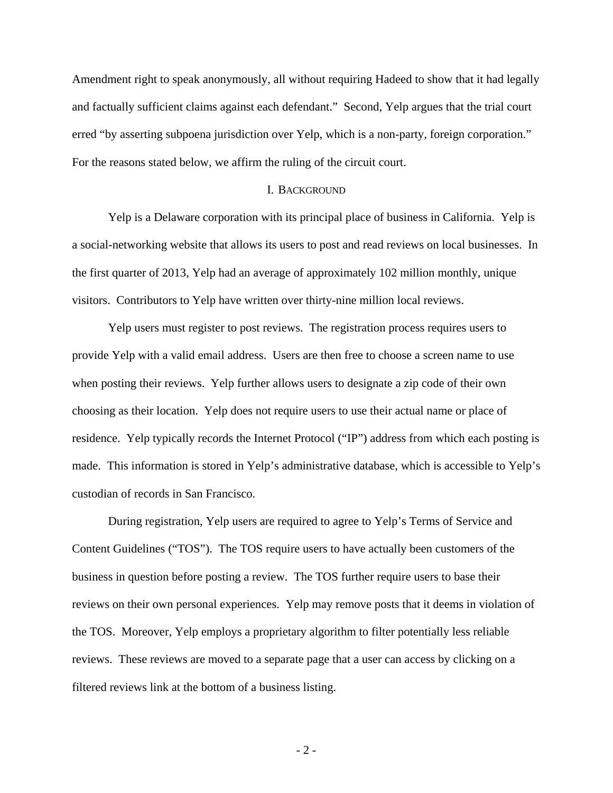Amendment right to speak anonymously, all without requiring Hadeed to show that it had legally and factually sufficient claims against each defendant." Second, Yelp argues that the trial court erred "by asserting subpoena jurisdiction over Yelp, which is a non-party, foreign corporation." For the reasons stated below, we affirm the ruling of the circuit court.

# I. BACKGROUND

Yelp is a Delaware corporation with its principal place of business in California. Yelp is a social-networking website that allows its users to post and read reviews on local businesses. In the first quarter of 2013, Yelp had an average of approximately 102 million monthly, unique visitors. Contributors to Yelp have written over thirty-nine million local reviews.

 Yelp users must register to post reviews. The registration process requires users to provide Yelp with a valid email address. Users are then free to choose a screen name to use when posting their reviews. Yelp further allows users to designate a zip code of their own choosing as their location. Yelp does not require users to use their actual name or place of residence. Yelp typically records the Internet Protocol ("IP") address from which each posting is made. This information is stored in Yelp's administrative database, which is accessible to Yelp's custodian of records in San Francisco.

During registration, Yelp users are required to agree to Yelp's Terms of Service and Content Guidelines ("TOS"). The TOS require users to have actually been customers of the business in question before posting a review. The TOS further require users to base their reviews on their own personal experiences. Yelp may remove posts that it deems in violation of the TOS. Moreover, Yelp employs a proprietary algorithm to filter potentially less reliable reviews. These reviews are moved to a separate page that a user can access by clicking on a filtered reviews link at the bottom of a business listing.

- 2 -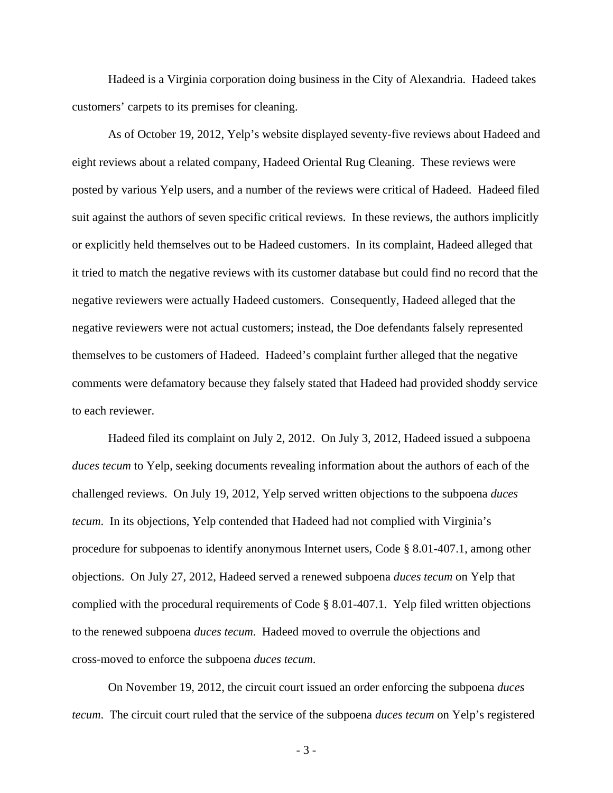Hadeed is a Virginia corporation doing business in the City of Alexandria. Hadeed takes customers' carpets to its premises for cleaning.

As of October 19, 2012, Yelp's website displayed seventy-five reviews about Hadeed and eight reviews about a related company, Hadeed Oriental Rug Cleaning. These reviews were posted by various Yelp users, and a number of the reviews were critical of Hadeed. Hadeed filed suit against the authors of seven specific critical reviews. In these reviews, the authors implicitly or explicitly held themselves out to be Hadeed customers. In its complaint, Hadeed alleged that it tried to match the negative reviews with its customer database but could find no record that the negative reviewers were actually Hadeed customers. Consequently, Hadeed alleged that the negative reviewers were not actual customers; instead, the Doe defendants falsely represented themselves to be customers of Hadeed. Hadeed's complaint further alleged that the negative comments were defamatory because they falsely stated that Hadeed had provided shoddy service to each reviewer.

Hadeed filed its complaint on July 2, 2012. On July 3, 2012, Hadeed issued a subpoena *duces tecum* to Yelp, seeking documents revealing information about the authors of each of the challenged reviews. On July 19, 2012, Yelp served written objections to the subpoena *duces tecum*. In its objections, Yelp contended that Hadeed had not complied with Virginia's procedure for subpoenas to identify anonymous Internet users, Code § 8.01-407.1, among other objections. On July 27, 2012, Hadeed served a renewed subpoena *duces tecum* on Yelp that complied with the procedural requirements of Code § 8.01-407.1. Yelp filed written objections to the renewed subpoena *duces tecum*. Hadeed moved to overrule the objections and cross-moved to enforce the subpoena *duces tecum*.

On November 19, 2012, the circuit court issued an order enforcing the subpoena *duces tecum*. The circuit court ruled that the service of the subpoena *duces tecum* on Yelp's registered

- 3 -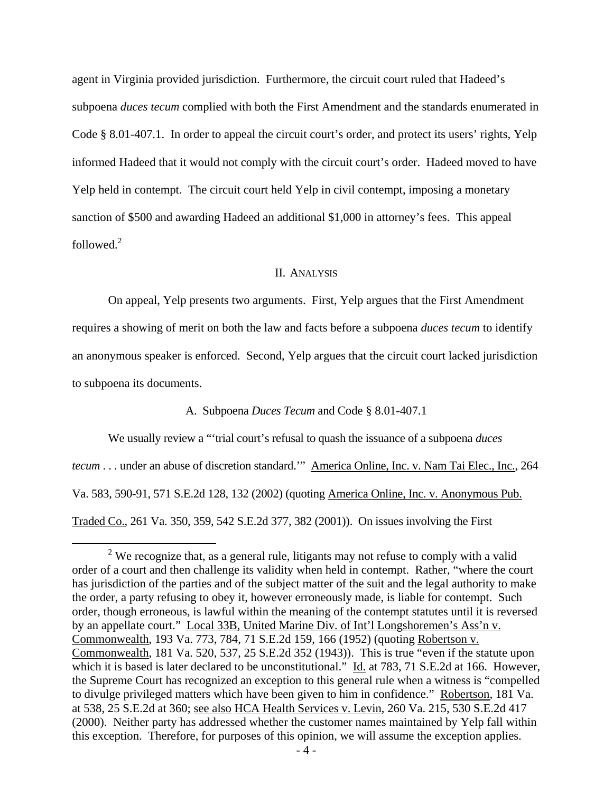agent in Virginia provided jurisdiction. Furthermore, the circuit court ruled that Hadeed's subpoena *duces tecum* complied with both the First Amendment and the standards enumerated in Code § 8.01-407.1. In order to appeal the circuit court's order, and protect its users' rights, Yelp informed Hadeed that it would not comply with the circuit court's order. Hadeed moved to have Yelp held in contempt. The circuit court held Yelp in civil contempt, imposing a monetary sanction of \$500 and awarding Hadeed an additional \$1,000 in attorney's fees. This appeal followed.<sup>2</sup>

#### II. ANALYSIS

On appeal, Yelp presents two arguments. First, Yelp argues that the First Amendment requires a showing of merit on both the law and facts before a subpoena *duces tecum* to identify an anonymous speaker is enforced. Second, Yelp argues that the circuit court lacked jurisdiction to subpoena its documents.

# A. Subpoena *Duces Tecum* and Code § 8.01-407.1

We usually review a "'trial court's refusal to quash the issuance of a subpoena *duces tecum* . . . under an abuse of discretion standard." America Online, Inc. v. Nam Tai Elec., Inc., 264 Va. 583, 590-91, 571 S.E.2d 128, 132 (2002) (quoting America Online, Inc. v. Anonymous Pub. Traded Co., 261 Va. 350, 359, 542 S.E.2d 377, 382 (2001)). On issues involving the First

 <sup>2</sup>  $2$  We recognize that, as a general rule, litigants may not refuse to comply with a valid order of a court and then challenge its validity when held in contempt. Rather, "where the court has jurisdiction of the parties and of the subject matter of the suit and the legal authority to make the order, a party refusing to obey it, however erroneously made, is liable for contempt. Such order, though erroneous, is lawful within the meaning of the contempt statutes until it is reversed by an appellate court." Local 33B, United Marine Div. of Int'l Longshoremen's Ass'n v. Commonwealth, 193 Va. 773, 784, 71 S.E.2d 159, 166 (1952) (quoting Robertson v. Commonwealth, 181 Va. 520, 537, 25 S.E.2d 352 (1943)). This is true "even if the statute upon which it is based is later declared to be unconstitutional." Id. at 783, 71 S.E.2d at 166. However, the Supreme Court has recognized an exception to this general rule when a witness is "compelled to divulge privileged matters which have been given to him in confidence." Robertson, 181 Va. at 538, 25 S.E.2d at 360; see also HCA Health Services v. Levin, 260 Va. 215, 530 S.E.2d 417 (2000). Neither party has addressed whether the customer names maintained by Yelp fall within this exception. Therefore, for purposes of this opinion, we will assume the exception applies.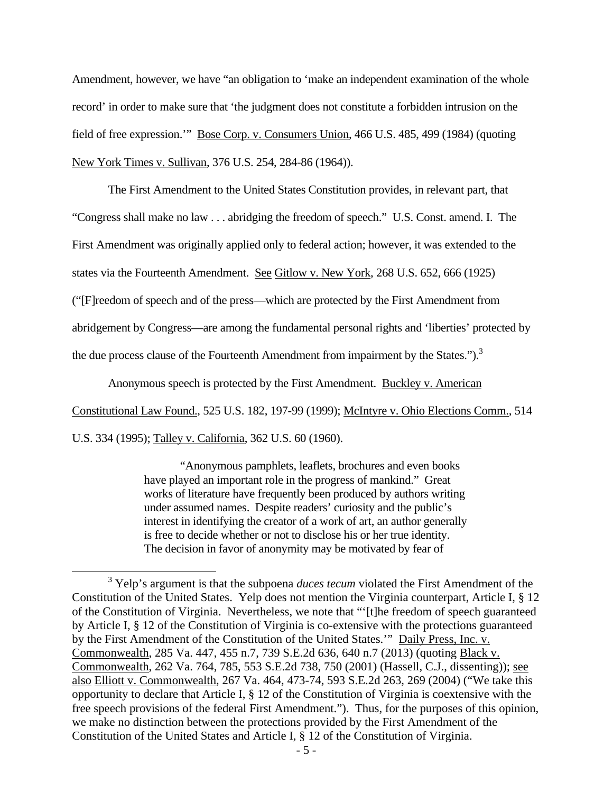Amendment, however, we have "an obligation to 'make an independent examination of the whole record' in order to make sure that 'the judgment does not constitute a forbidden intrusion on the field of free expression.'" Bose Corp. v. Consumers Union, 466 U.S. 485, 499 (1984) (quoting New York Times v. Sullivan, 376 U.S. 254, 284-86 (1964)).

The First Amendment to the United States Constitution provides, in relevant part, that "Congress shall make no law . . . abridging the freedom of speech." U.S. Const. amend. I. The First Amendment was originally applied only to federal action; however, it was extended to the states via the Fourteenth Amendment. See Gitlow v. New York, 268 U.S. 652, 666 (1925) ("[F]reedom of speech and of the press—which are protected by the First Amendment from abridgement by Congress—are among the fundamental personal rights and 'liberties' protected by the due process clause of the Fourteenth Amendment from impairment by the States.").<sup>3</sup>

Anonymous speech is protected by the First Amendment. Buckley v. American

Constitutional Law Found., 525 U.S. 182, 197-99 (1999); McIntyre v. Ohio Elections Comm., 514

U.S. 334 (1995); Talley v. California, 362 U.S. 60 (1960).

"Anonymous pamphlets, leaflets, brochures and even books have played an important role in the progress of mankind." Great works of literature have frequently been produced by authors writing under assumed names. Despite readers' curiosity and the public's interest in identifying the creator of a work of art, an author generally is free to decide whether or not to disclose his or her true identity. The decision in favor of anonymity may be motivated by fear of

 $\frac{1}{3}$ <sup>3</sup> Yelp's argument is that the subpoena *duces tecum* violated the First Amendment of the Constitution of the United States. Yelp does not mention the Virginia counterpart, Article I, § 12 of the Constitution of Virginia. Nevertheless, we note that "'[t]he freedom of speech guaranteed by Article I, § 12 of the Constitution of Virginia is co-extensive with the protections guaranteed by the First Amendment of the Constitution of the United States.'" Daily Press, Inc. v. Commonwealth, 285 Va. 447, 455 n.7, 739 S.E.2d 636, 640 n.7 (2013) (quoting Black v. Commonwealth, 262 Va. 764, 785, 553 S.E.2d 738, 750 (2001) (Hassell, C.J., dissenting)); see also Elliott v. Commonwealth, 267 Va. 464, 473-74, 593 S.E.2d 263, 269 (2004) ("We take this opportunity to declare that Article I, § 12 of the Constitution of Virginia is coextensive with the free speech provisions of the federal First Amendment."). Thus, for the purposes of this opinion, we make no distinction between the protections provided by the First Amendment of the Constitution of the United States and Article I, § 12 of the Constitution of Virginia.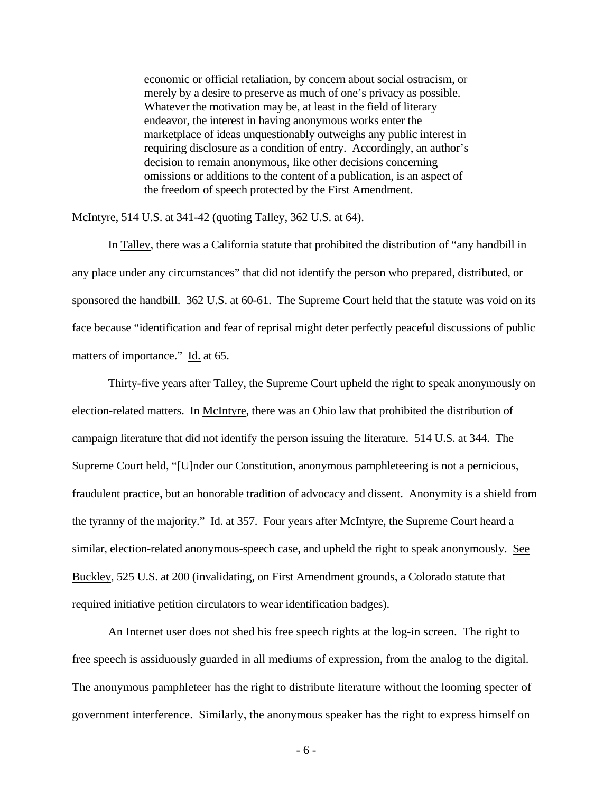economic or official retaliation, by concern about social ostracism, or merely by a desire to preserve as much of one's privacy as possible. Whatever the motivation may be, at least in the field of literary endeavor, the interest in having anonymous works enter the marketplace of ideas unquestionably outweighs any public interest in requiring disclosure as a condition of entry. Accordingly, an author's decision to remain anonymous, like other decisions concerning omissions or additions to the content of a publication, is an aspect of the freedom of speech protected by the First Amendment.

McIntyre, 514 U.S. at 341-42 (quoting Talley, 362 U.S. at 64).

In Talley, there was a California statute that prohibited the distribution of "any handbill in any place under any circumstances" that did not identify the person who prepared, distributed, or sponsored the handbill. 362 U.S. at 60-61. The Supreme Court held that the statute was void on its face because "identification and fear of reprisal might deter perfectly peaceful discussions of public matters of importance." Id. at 65.

Thirty-five years after **Talley**, the Supreme Court upheld the right to speak anonymously on election-related matters. In McIntyre, there was an Ohio law that prohibited the distribution of campaign literature that did not identify the person issuing the literature. 514 U.S. at 344. The Supreme Court held, "[U]nder our Constitution, anonymous pamphleteering is not a pernicious, fraudulent practice, but an honorable tradition of advocacy and dissent. Anonymity is a shield from the tyranny of the majority." Id. at 357. Four years after McIntyre, the Supreme Court heard a similar, election-related anonymous-speech case, and upheld the right to speak anonymously. See Buckley, 525 U.S. at 200 (invalidating, on First Amendment grounds, a Colorado statute that required initiative petition circulators to wear identification badges).

An Internet user does not shed his free speech rights at the log-in screen. The right to free speech is assiduously guarded in all mediums of expression, from the analog to the digital. The anonymous pamphleteer has the right to distribute literature without the looming specter of government interference. Similarly, the anonymous speaker has the right to express himself on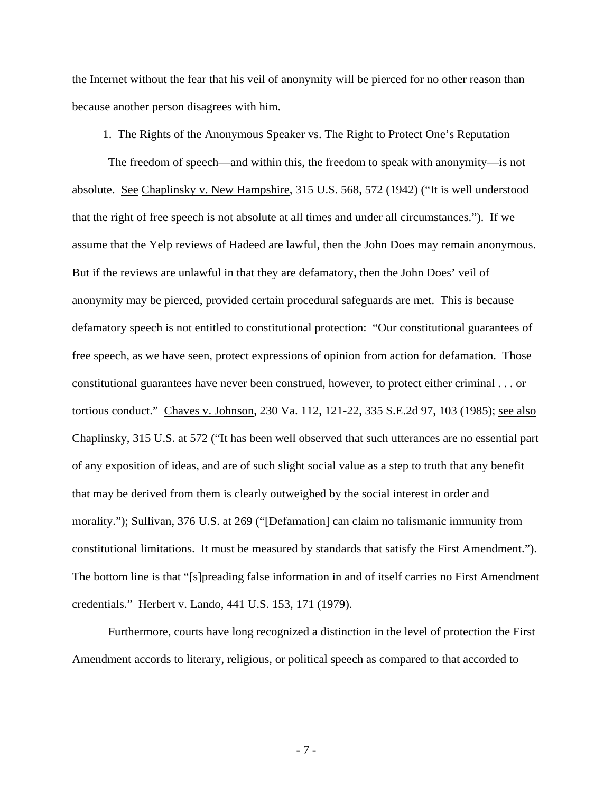the Internet without the fear that his veil of anonymity will be pierced for no other reason than because another person disagrees with him.

1. The Rights of the Anonymous Speaker vs. The Right to Protect One's Reputation

The freedom of speech—and within this, the freedom to speak with anonymity—is not absolute. See Chaplinsky v. New Hampshire, 315 U.S. 568, 572 (1942) ("It is well understood that the right of free speech is not absolute at all times and under all circumstances."). If we assume that the Yelp reviews of Hadeed are lawful, then the John Does may remain anonymous. But if the reviews are unlawful in that they are defamatory, then the John Does' veil of anonymity may be pierced, provided certain procedural safeguards are met. This is because defamatory speech is not entitled to constitutional protection: "Our constitutional guarantees of free speech, as we have seen, protect expressions of opinion from action for defamation. Those constitutional guarantees have never been construed, however, to protect either criminal . . . or tortious conduct." Chaves v. Johnson, 230 Va. 112, 121-22, 335 S.E.2d 97, 103 (1985); see also Chaplinsky, 315 U.S. at 572 ("It has been well observed that such utterances are no essential part of any exposition of ideas, and are of such slight social value as a step to truth that any benefit that may be derived from them is clearly outweighed by the social interest in order and morality."); Sullivan, 376 U.S. at 269 ("[Defamation] can claim no talismanic immunity from constitutional limitations. It must be measured by standards that satisfy the First Amendment."). The bottom line is that "[s]preading false information in and of itself carries no First Amendment credentials." Herbert v. Lando, 441 U.S. 153, 171 (1979).

Furthermore, courts have long recognized a distinction in the level of protection the First Amendment accords to literary, religious, or political speech as compared to that accorded to

- 7 -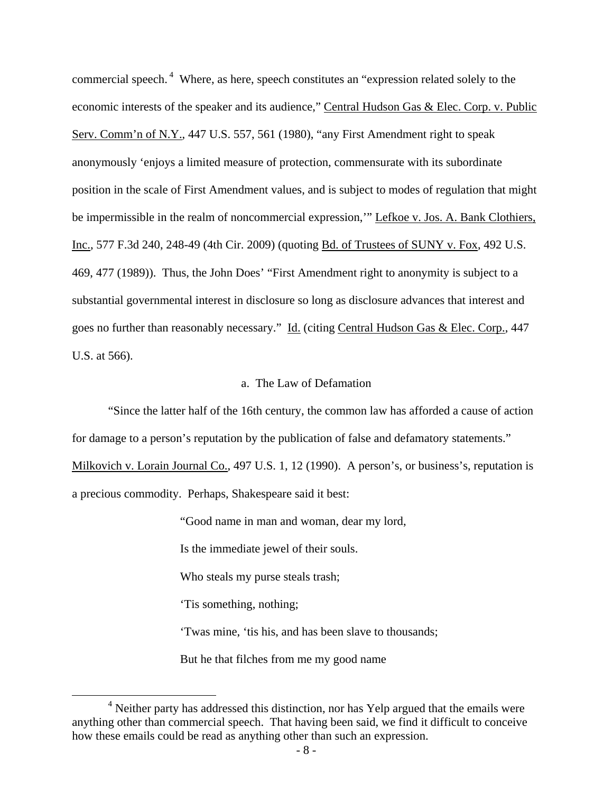commercial speech.<sup>4</sup> Where, as here, speech constitutes an "expression related solely to the economic interests of the speaker and its audience," Central Hudson Gas & Elec. Corp. v. Public Serv. Comm'n of N.Y., 447 U.S. 557, 561 (1980), "any First Amendment right to speak anonymously 'enjoys a limited measure of protection, commensurate with its subordinate position in the scale of First Amendment values, and is subject to modes of regulation that might be impermissible in the realm of noncommercial expression," Lefkoe v. Jos. A. Bank Clothiers, Inc., 577 F.3d 240, 248-49 (4th Cir. 2009) (quoting Bd. of Trustees of SUNY v. Fox, 492 U.S. 469, 477 (1989)). Thus, the John Does' "First Amendment right to anonymity is subject to a substantial governmental interest in disclosure so long as disclosure advances that interest and goes no further than reasonably necessary." Id. (citing Central Hudson Gas & Elec. Corp., 447 U.S. at 566).

## a. The Law of Defamation

"Since the latter half of the 16th century, the common law has afforded a cause of action for damage to a person's reputation by the publication of false and defamatory statements."

Milkovich v. Lorain Journal Co., 497 U.S. 1, 12 (1990). A person's, or business's, reputation is a precious commodity. Perhaps, Shakespeare said it best:

"Good name in man and woman, dear my lord,

Is the immediate jewel of their souls.

Who steals my purse steals trash;

'Tis something, nothing;

'Twas mine, 'tis his, and has been slave to thousands;

But he that filches from me my good name

 $\overline{4}$  $<sup>4</sup>$  Neither party has addressed this distinction, nor has Yelp argued that the emails were</sup> anything other than commercial speech. That having been said, we find it difficult to conceive how these emails could be read as anything other than such an expression.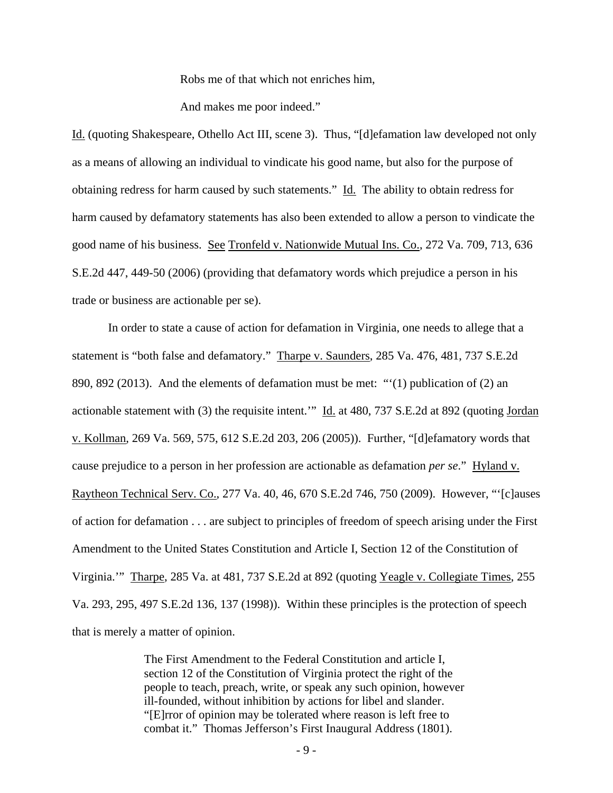Robs me of that which not enriches him,

And makes me poor indeed."

Id. (quoting Shakespeare, Othello Act III, scene 3). Thus, "[d]efamation law developed not only as a means of allowing an individual to vindicate his good name, but also for the purpose of obtaining redress for harm caused by such statements." Id. The ability to obtain redress for harm caused by defamatory statements has also been extended to allow a person to vindicate the good name of his business. See Tronfeld v. Nationwide Mutual Ins. Co., 272 Va. 709, 713, 636 S.E.2d 447, 449-50 (2006) (providing that defamatory words which prejudice a person in his trade or business are actionable per se).

In order to state a cause of action for defamation in Virginia, one needs to allege that a statement is "both false and defamatory." Tharpe v. Saunders, 285 Va. 476, 481, 737 S.E.2d 890, 892 (2013). And the elements of defamation must be met: "'(1) publication of (2) an actionable statement with (3) the requisite intent." Id. at 480, 737 S.E.2d at 892 (quoting Jordan v. Kollman, 269 Va. 569, 575, 612 S.E.2d 203, 206 (2005)). Further, "[d]efamatory words that cause prejudice to a person in her profession are actionable as defamation *per se*." Hyland v. Raytheon Technical Serv. Co., 277 Va. 40, 46, 670 S.E.2d 746, 750 (2009). However, "'[c]auses of action for defamation . . . are subject to principles of freedom of speech arising under the First Amendment to the United States Constitution and Article I, Section 12 of the Constitution of Virginia.'" Tharpe, 285 Va. at 481, 737 S.E.2d at 892 (quoting Yeagle v. Collegiate Times, 255 Va. 293, 295, 497 S.E.2d 136, 137 (1998)). Within these principles is the protection of speech that is merely a matter of opinion.

> The First Amendment to the Federal Constitution and article I, section 12 of the Constitution of Virginia protect the right of the people to teach, preach, write, or speak any such opinion, however ill-founded, without inhibition by actions for libel and slander. "[E]rror of opinion may be tolerated where reason is left free to combat it." Thomas Jefferson's First Inaugural Address (1801).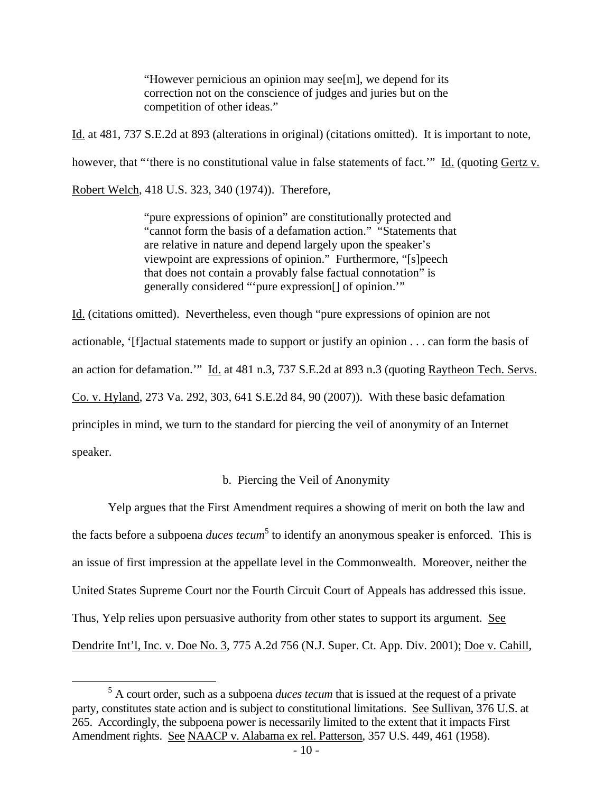"However pernicious an opinion may see[m], we depend for its correction not on the conscience of judges and juries but on the competition of other ideas."

Id. at 481, 737 S.E.2d at 893 (alterations in original) (citations omitted). It is important to note, however, that "'there is no constitutional value in false statements of fact.'" Id. (quoting Gertz v. Robert Welch, 418 U.S. 323, 340 (1974)). Therefore,

> "pure expressions of opinion" are constitutionally protected and "cannot form the basis of a defamation action." "Statements that are relative in nature and depend largely upon the speaker's viewpoint are expressions of opinion." Furthermore, "[s]peech that does not contain a provably false factual connotation" is generally considered "'pure expression[] of opinion.'"

Id. (citations omitted). Nevertheless, even though "pure expressions of opinion are not actionable, '[f]actual statements made to support or justify an opinion . . . can form the basis of an action for defamation.'" Id. at 481 n.3, 737 S.E.2d at 893 n.3 (quoting Raytheon Tech. Servs. Co. v. Hyland, 273 Va. 292, 303, 641 S.E.2d 84, 90 (2007)). With these basic defamation principles in mind, we turn to the standard for piercing the veil of anonymity of an Internet speaker.

## b. Piercing the Veil of Anonymity

 Yelp argues that the First Amendment requires a showing of merit on both the law and the facts before a subpoena *duces tecum*<sup>5</sup> to identify an anonymous speaker is enforced. This is an issue of first impression at the appellate level in the Commonwealth. Moreover, neither the United States Supreme Court nor the Fourth Circuit Court of Appeals has addressed this issue. Thus, Yelp relies upon persuasive authority from other states to support its argument. See Dendrite Int'l, Inc. v. Doe No. 3, 775 A.2d 756 (N.J. Super. Ct. App. Div. 2001); Doe v. Cahill,

 $rac{1}{5}$ <sup>5</sup> A court order, such as a subpoena *duces tecum* that is issued at the request of a private party, constitutes state action and is subject to constitutional limitations. See Sullivan, 376 U.S. at 265. Accordingly, the subpoena power is necessarily limited to the extent that it impacts First Amendment rights. See NAACP v. Alabama ex rel. Patterson, 357 U.S. 449, 461 (1958).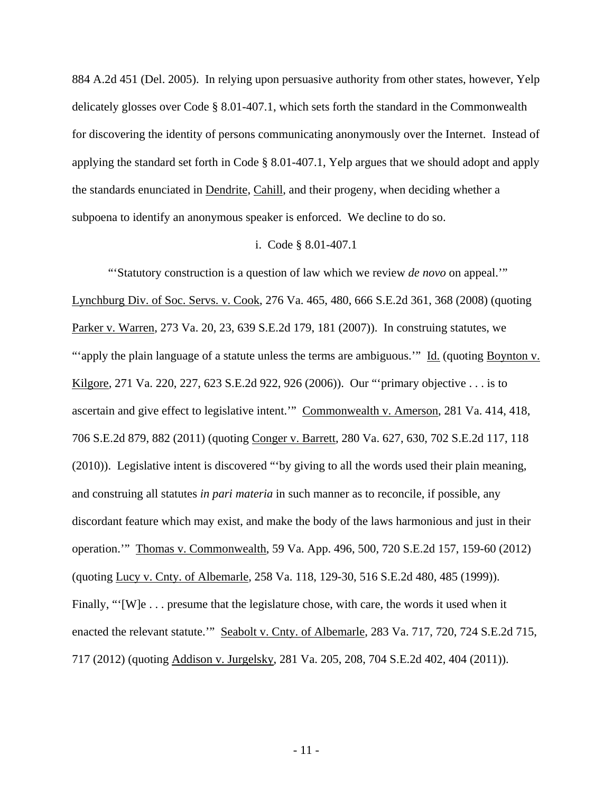884 A.2d 451 (Del. 2005). In relying upon persuasive authority from other states, however, Yelp delicately glosses over Code § 8.01-407.1, which sets forth the standard in the Commonwealth for discovering the identity of persons communicating anonymously over the Internet. Instead of applying the standard set forth in Code § 8.01-407.1, Yelp argues that we should adopt and apply the standards enunciated in Dendrite, Cahill, and their progeny, when deciding whether a subpoena to identify an anonymous speaker is enforced. We decline to do so.

#### i. Code § 8.01-407.1

"'Statutory construction is a question of law which we review *de novo* on appeal.'" Lynchburg Div. of Soc. Servs. v. Cook, 276 Va. 465, 480, 666 S.E.2d 361, 368 (2008) (quoting Parker v. Warren, 273 Va. 20, 23, 639 S.E.2d 179, 181 (2007)). In construing statutes, we "'apply the plain language of a statute unless the terms are ambiguous.'" Id. (quoting Boynton v. Kilgore, 271 Va. 220, 227, 623 S.E.2d 922, 926 (2006)). Our "'primary objective . . . is to ascertain and give effect to legislative intent.'" Commonwealth v. Amerson, 281 Va. 414, 418, 706 S.E.2d 879, 882 (2011) (quoting Conger v. Barrett, 280 Va. 627, 630, 702 S.E.2d 117, 118 (2010)). Legislative intent is discovered "'by giving to all the words used their plain meaning, and construing all statutes *in pari materia* in such manner as to reconcile, if possible, any discordant feature which may exist, and make the body of the laws harmonious and just in their operation.'" Thomas v. Commonwealth, 59 Va. App. 496, 500, 720 S.E.2d 157, 159-60 (2012) (quoting Lucy v. Cnty. of Albemarle, 258 Va. 118, 129-30, 516 S.E.2d 480, 485 (1999)). Finally, "'[W]e . . . presume that the legislature chose, with care, the words it used when it enacted the relevant statute." Seabolt v. Cnty. of Albemarle, 283 Va. 717, 720, 724 S.E.2d 715, 717 (2012) (quoting Addison v. Jurgelsky, 281 Va. 205, 208, 704 S.E.2d 402, 404 (2011)).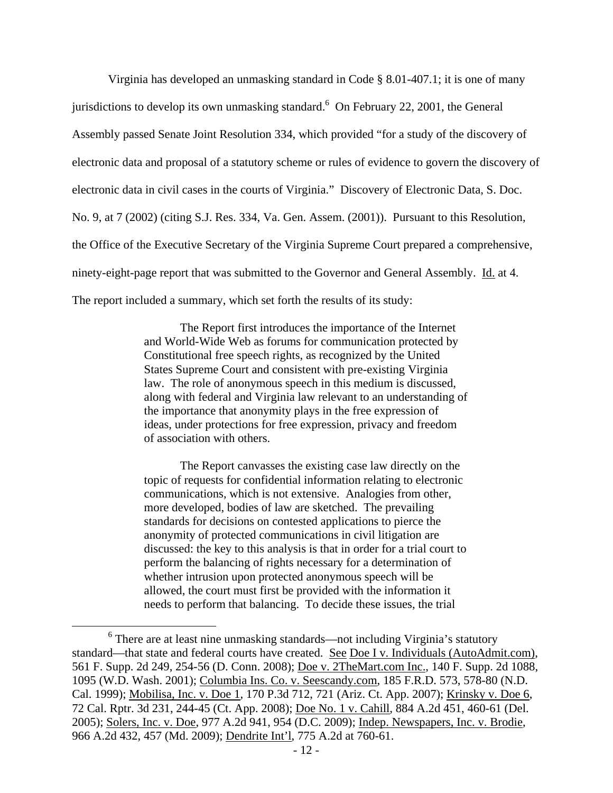Virginia has developed an unmasking standard in Code § 8.01-407.1; it is one of many jurisdictions to develop its own unmasking standard. <sup>6</sup> On February 22, 2001, the General Assembly passed Senate Joint Resolution 334, which provided "for a study of the discovery of electronic data and proposal of a statutory scheme or rules of evidence to govern the discovery of electronic data in civil cases in the courts of Virginia." Discovery of Electronic Data, S. Doc. No. 9, at 7 (2002) (citing S.J. Res. 334, Va. Gen. Assem. (2001)). Pursuant to this Resolution, the Office of the Executive Secretary of the Virginia Supreme Court prepared a comprehensive, ninety-eight-page report that was submitted to the Governor and General Assembly. Id. at 4. The report included a summary, which set forth the results of its study:

> The Report first introduces the importance of the Internet and World-Wide Web as forums for communication protected by Constitutional free speech rights, as recognized by the United States Supreme Court and consistent with pre-existing Virginia law. The role of anonymous speech in this medium is discussed, along with federal and Virginia law relevant to an understanding of the importance that anonymity plays in the free expression of ideas, under protections for free expression, privacy and freedom of association with others.

> The Report canvasses the existing case law directly on the topic of requests for confidential information relating to electronic communications, which is not extensive. Analogies from other, more developed, bodies of law are sketched. The prevailing standards for decisions on contested applications to pierce the anonymity of protected communications in civil litigation are discussed: the key to this analysis is that in order for a trial court to perform the balancing of rights necessary for a determination of whether intrusion upon protected anonymous speech will be allowed, the court must first be provided with the information it needs to perform that balancing. To decide these issues, the trial

 <sup>6</sup> <sup>6</sup> There are at least nine unmasking standards—not including Virginia's statutory standard—that state and federal courts have created. See Doe I v. Individuals (AutoAdmit.com), 561 F. Supp. 2d 249, 254-56 (D. Conn. 2008); Doe v. 2TheMart.com Inc., 140 F. Supp. 2d 1088, 1095 (W.D. Wash. 2001); Columbia Ins. Co. v. Seescandy.com, 185 F.R.D. 573, 578-80 (N.D. Cal. 1999); Mobilisa, Inc. v. Doe 1, 170 P.3d 712, 721 (Ariz. Ct. App. 2007); Krinsky v. Doe 6, 72 Cal. Rptr. 3d 231, 244-45 (Ct. App. 2008); Doe No. 1 v. Cahill, 884 A.2d 451, 460-61 (Del. 2005); Solers, Inc. v. Doe, 977 A.2d 941, 954 (D.C. 2009); Indep. Newspapers, Inc. v. Brodie, 966 A.2d 432, 457 (Md. 2009); Dendrite Int'l, 775 A.2d at 760-61.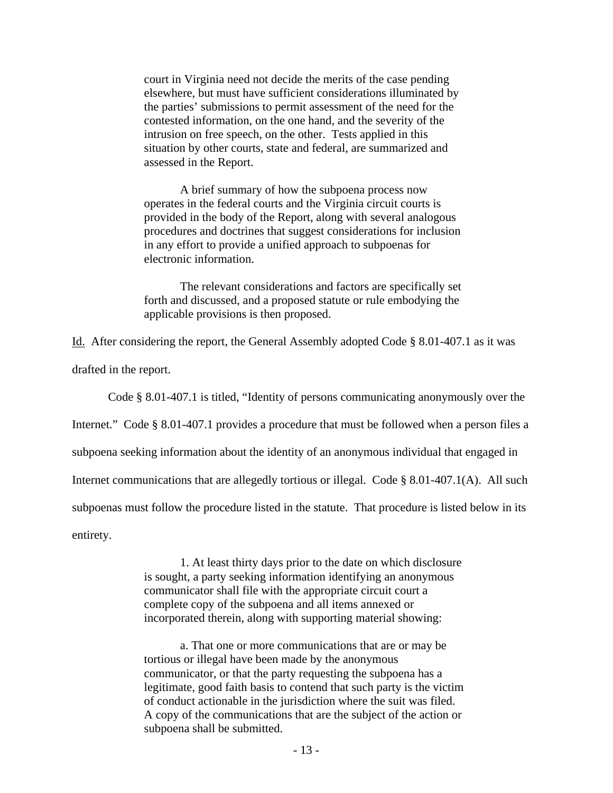court in Virginia need not decide the merits of the case pending elsewhere, but must have sufficient considerations illuminated by the parties' submissions to permit assessment of the need for the contested information, on the one hand, and the severity of the intrusion on free speech, on the other. Tests applied in this situation by other courts, state and federal, are summarized and assessed in the Report.

A brief summary of how the subpoena process now operates in the federal courts and the Virginia circuit courts is provided in the body of the Report, along with several analogous procedures and doctrines that suggest considerations for inclusion in any effort to provide a unified approach to subpoenas for electronic information.

The relevant considerations and factors are specifically set forth and discussed, and a proposed statute or rule embodying the applicable provisions is then proposed.

Id. After considering the report, the General Assembly adopted Code § 8.01-407.1 as it was

drafted in the report.

Code § 8.01-407.1 is titled, "Identity of persons communicating anonymously over the

Internet." Code § 8.01-407.1 provides a procedure that must be followed when a person files a

subpoena seeking information about the identity of an anonymous individual that engaged in

Internet communications that are allegedly tortious or illegal. Code § 8.01-407.1(A). All such

subpoenas must follow the procedure listed in the statute. That procedure is listed below in its

entirety.

1. At least thirty days prior to the date on which disclosure is sought, a party seeking information identifying an anonymous communicator shall file with the appropriate circuit court a complete copy of the subpoena and all items annexed or incorporated therein, along with supporting material showing:

a. That one or more communications that are or may be tortious or illegal have been made by the anonymous communicator, or that the party requesting the subpoena has a legitimate, good faith basis to contend that such party is the victim of conduct actionable in the jurisdiction where the suit was filed. A copy of the communications that are the subject of the action or subpoena shall be submitted.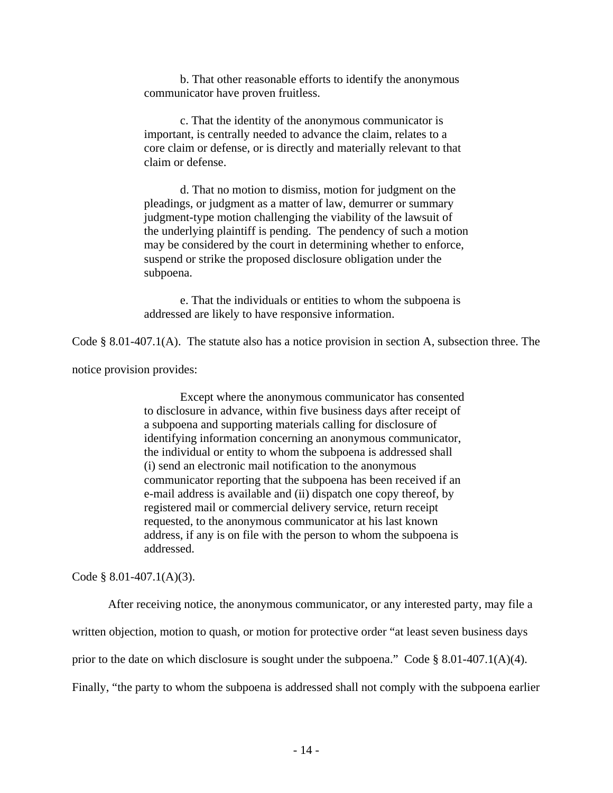b. That other reasonable efforts to identify the anonymous communicator have proven fruitless.

c. That the identity of the anonymous communicator is important, is centrally needed to advance the claim, relates to a core claim or defense, or is directly and materially relevant to that claim or defense.

d. That no motion to dismiss, motion for judgment on the pleadings, or judgment as a matter of law, demurrer or summary judgment-type motion challenging the viability of the lawsuit of the underlying plaintiff is pending. The pendency of such a motion may be considered by the court in determining whether to enforce, suspend or strike the proposed disclosure obligation under the subpoena.

e. That the individuals or entities to whom the subpoena is addressed are likely to have responsive information.

Code § 8.01-407.1(A). The statute also has a notice provision in section A, subsection three. The

notice provision provides:

Except where the anonymous communicator has consented to disclosure in advance, within five business days after receipt of a subpoena and supporting materials calling for disclosure of identifying information concerning an anonymous communicator, the individual or entity to whom the subpoena is addressed shall (i) send an electronic mail notification to the anonymous communicator reporting that the subpoena has been received if an e-mail address is available and (ii) dispatch one copy thereof, by registered mail or commercial delivery service, return receipt requested, to the anonymous communicator at his last known address, if any is on file with the person to whom the subpoena is addressed.

Code  $§ 8.01-407.1(A)(3)$ .

 After receiving notice, the anonymous communicator, or any interested party, may file a written objection, motion to quash, or motion for protective order "at least seven business days prior to the date on which disclosure is sought under the subpoena." Code § 8.01-407.1(A)(4). Finally, "the party to whom the subpoena is addressed shall not comply with the subpoena earlier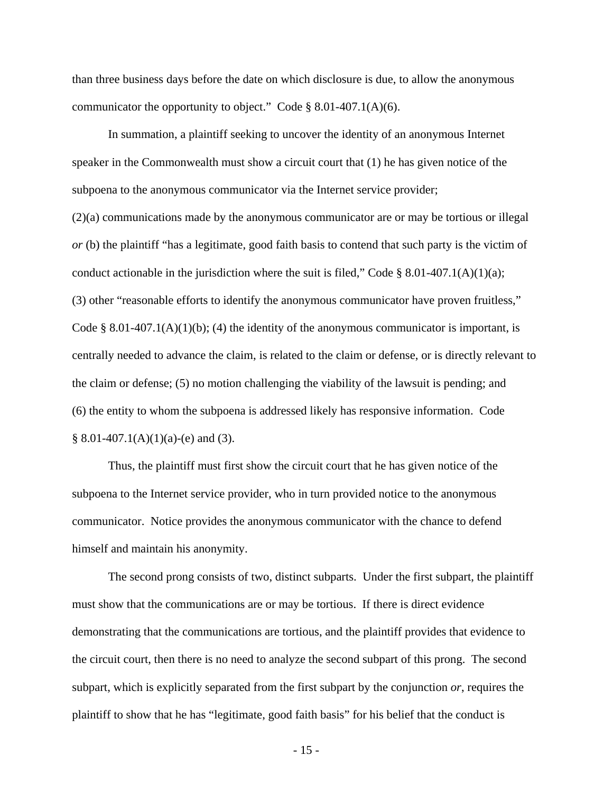than three business days before the date on which disclosure is due, to allow the anonymous communicator the opportunity to object." Code § 8.01-407.1(A)(6).

In summation, a plaintiff seeking to uncover the identity of an anonymous Internet speaker in the Commonwealth must show a circuit court that (1) he has given notice of the subpoena to the anonymous communicator via the Internet service provider; (2)(a) communications made by the anonymous communicator are or may be tortious or illegal *or* (b) the plaintiff "has a legitimate, good faith basis to contend that such party is the victim of conduct actionable in the jurisdiction where the suit is filed," Code § 8.01-407.1(A)(1)(a); (3) other "reasonable efforts to identify the anonymous communicator have proven fruitless," Code § 8.01-407.1(A)(1)(b); (4) the identity of the anonymous communicator is important, is centrally needed to advance the claim, is related to the claim or defense, or is directly relevant to the claim or defense; (5) no motion challenging the viability of the lawsuit is pending; and (6) the entity to whom the subpoena is addressed likely has responsive information. Code  $§ 8.01-407.1(A)(1)(a)-(e)$  and (3).

Thus, the plaintiff must first show the circuit court that he has given notice of the subpoena to the Internet service provider, who in turn provided notice to the anonymous communicator. Notice provides the anonymous communicator with the chance to defend himself and maintain his anonymity.

The second prong consists of two, distinct subparts. Under the first subpart, the plaintiff must show that the communications are or may be tortious. If there is direct evidence demonstrating that the communications are tortious, and the plaintiff provides that evidence to the circuit court, then there is no need to analyze the second subpart of this prong. The second subpart, which is explicitly separated from the first subpart by the conjunction *or*, requires the plaintiff to show that he has "legitimate, good faith basis" for his belief that the conduct is

- 15 -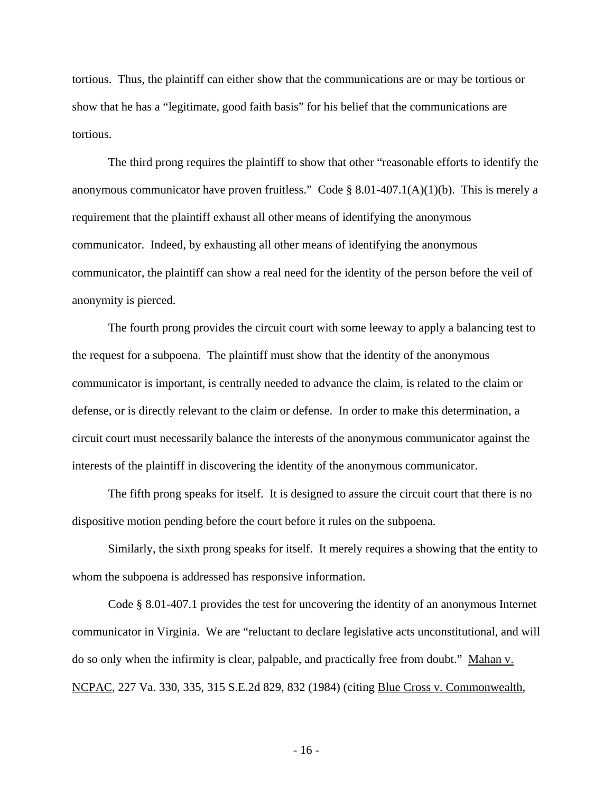tortious. Thus, the plaintiff can either show that the communications are or may be tortious or show that he has a "legitimate, good faith basis" for his belief that the communications are tortious.

The third prong requires the plaintiff to show that other "reasonable efforts to identify the anonymous communicator have proven fruitless." Code  $\S$  8.01-407.1(A)(1)(b). This is merely a requirement that the plaintiff exhaust all other means of identifying the anonymous communicator. Indeed, by exhausting all other means of identifying the anonymous communicator, the plaintiff can show a real need for the identity of the person before the veil of anonymity is pierced.

The fourth prong provides the circuit court with some leeway to apply a balancing test to the request for a subpoena. The plaintiff must show that the identity of the anonymous communicator is important, is centrally needed to advance the claim, is related to the claim or defense, or is directly relevant to the claim or defense. In order to make this determination, a circuit court must necessarily balance the interests of the anonymous communicator against the interests of the plaintiff in discovering the identity of the anonymous communicator.

The fifth prong speaks for itself. It is designed to assure the circuit court that there is no dispositive motion pending before the court before it rules on the subpoena.

Similarly, the sixth prong speaks for itself. It merely requires a showing that the entity to whom the subpoena is addressed has responsive information.

Code § 8.01-407.1 provides the test for uncovering the identity of an anonymous Internet communicator in Virginia. We are "reluctant to declare legislative acts unconstitutional, and will do so only when the infirmity is clear, palpable, and practically free from doubt." Mahan v. NCPAC, 227 Va. 330, 335, 315 S.E.2d 829, 832 (1984) (citing Blue Cross v. Commonwealth,

- 16 -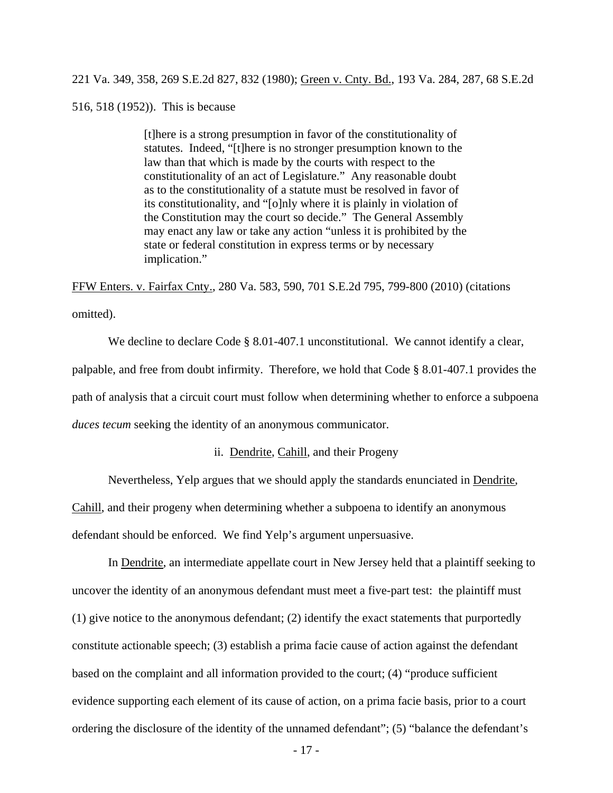221 Va. 349, 358, 269 S.E.2d 827, 832 (1980); Green v. Cnty. Bd., 193 Va. 284, 287, 68 S.E.2d

516, 518 (1952)). This is because

[t]here is a strong presumption in favor of the constitutionality of statutes. Indeed, "[t]here is no stronger presumption known to the law than that which is made by the courts with respect to the constitutionality of an act of Legislature." Any reasonable doubt as to the constitutionality of a statute must be resolved in favor of its constitutionality, and "[o]nly where it is plainly in violation of the Constitution may the court so decide." The General Assembly may enact any law or take any action "unless it is prohibited by the state or federal constitution in express terms or by necessary implication."

FFW Enters. v. Fairfax Cnty., 280 Va. 583, 590, 701 S.E.2d 795, 799-800 (2010) (citations omitted).

We decline to declare Code § 8.01-407.1 unconstitutional. We cannot identify a clear, palpable, and free from doubt infirmity. Therefore, we hold that Code § 8.01-407.1 provides the path of analysis that a circuit court must follow when determining whether to enforce a subpoena *duces tecum* seeking the identity of an anonymous communicator.

ii. Dendrite, Cahill, and their Progeny

Nevertheless, Yelp argues that we should apply the standards enunciated in Dendrite,

Cahill, and their progeny when determining whether a subpoena to identify an anonymous defendant should be enforced. We find Yelp's argument unpersuasive.

In Dendrite, an intermediate appellate court in New Jersey held that a plaintiff seeking to uncover the identity of an anonymous defendant must meet a five-part test: the plaintiff must (1) give notice to the anonymous defendant; (2) identify the exact statements that purportedly constitute actionable speech; (3) establish a prima facie cause of action against the defendant based on the complaint and all information provided to the court; (4) "produce sufficient evidence supporting each element of its cause of action, on a prima facie basis, prior to a court ordering the disclosure of the identity of the unnamed defendant"; (5) "balance the defendant's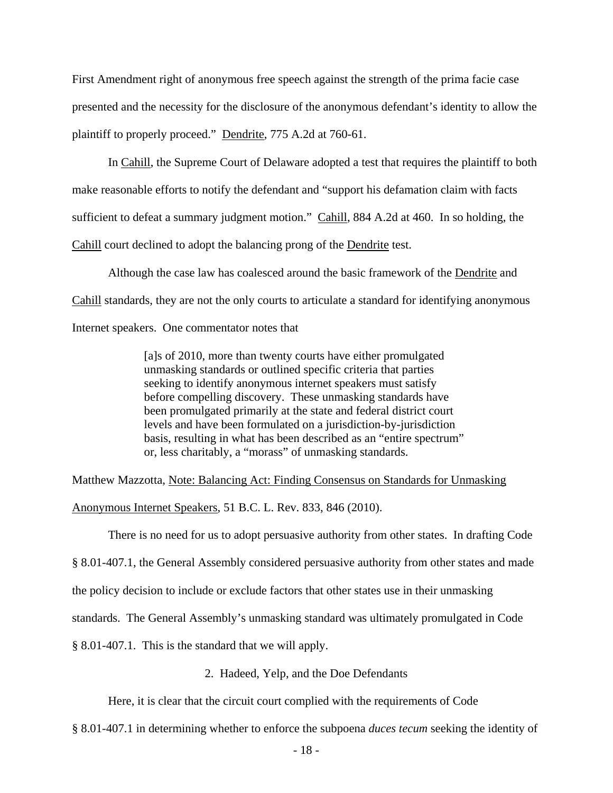First Amendment right of anonymous free speech against the strength of the prima facie case presented and the necessity for the disclosure of the anonymous defendant's identity to allow the plaintiff to properly proceed." Dendrite, 775 A.2d at 760-61.

 In Cahill, the Supreme Court of Delaware adopted a test that requires the plaintiff to both make reasonable efforts to notify the defendant and "support his defamation claim with facts sufficient to defeat a summary judgment motion." Cahill, 884 A.2d at 460. In so holding, the Cahill court declined to adopt the balancing prong of the Dendrite test.

Although the case law has coalesced around the basic framework of the Dendrite and Cahill standards, they are not the only courts to articulate a standard for identifying anonymous Internet speakers. One commentator notes that

> [a]s of 2010, more than twenty courts have either promulgated unmasking standards or outlined specific criteria that parties seeking to identify anonymous internet speakers must satisfy before compelling discovery. These unmasking standards have been promulgated primarily at the state and federal district court levels and have been formulated on a jurisdiction-by-jurisdiction basis, resulting in what has been described as an "entire spectrum" or, less charitably, a "morass" of unmasking standards.

Matthew Mazzotta, Note: Balancing Act: Finding Consensus on Standards for Unmasking

Anonymous Internet Speakers, 51 B.C. L. Rev. 833, 846 (2010).

There is no need for us to adopt persuasive authority from other states. In drafting Code

§ 8.01-407.1, the General Assembly considered persuasive authority from other states and made

the policy decision to include or exclude factors that other states use in their unmasking

standards. The General Assembly's unmasking standard was ultimately promulgated in Code

§ 8.01-407.1. This is the standard that we will apply.

2. Hadeed, Yelp, and the Doe Defendants

Here, it is clear that the circuit court complied with the requirements of Code

§ 8.01-407.1 in determining whether to enforce the subpoena *duces tecum* seeking the identity of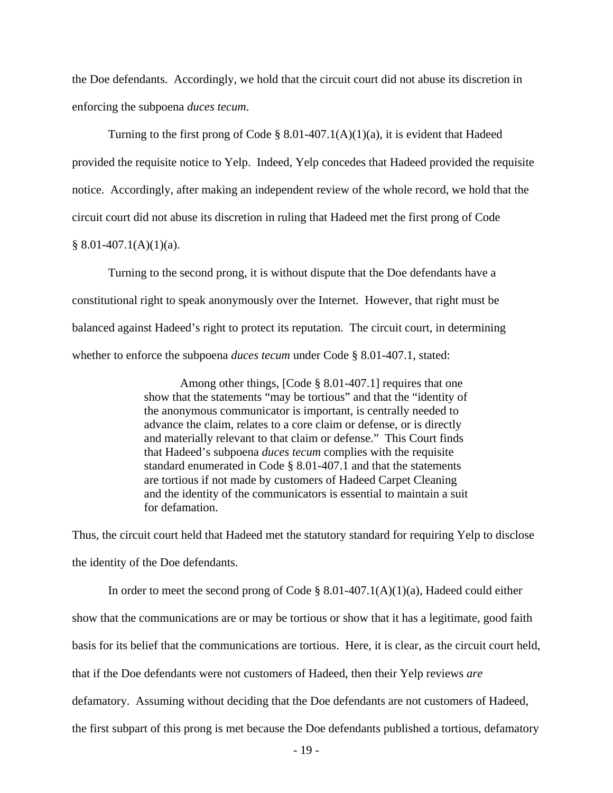the Doe defendants. Accordingly, we hold that the circuit court did not abuse its discretion in enforcing the subpoena *duces tecum*.

 Turning to the first prong of Code § 8.01-407.1(A)(1)(a), it is evident that Hadeed provided the requisite notice to Yelp. Indeed, Yelp concedes that Hadeed provided the requisite notice. Accordingly, after making an independent review of the whole record, we hold that the circuit court did not abuse its discretion in ruling that Hadeed met the first prong of Code  $§ 8.01-407.1(A)(1)(a).$ 

 Turning to the second prong, it is without dispute that the Doe defendants have a constitutional right to speak anonymously over the Internet. However, that right must be balanced against Hadeed's right to protect its reputation. The circuit court, in determining whether to enforce the subpoena *duces tecum* under Code § 8.01-407.1, stated:

> Among other things, [Code § 8.01-407.1] requires that one show that the statements "may be tortious" and that the "identity of the anonymous communicator is important, is centrally needed to advance the claim, relates to a core claim or defense, or is directly and materially relevant to that claim or defense." This Court finds that Hadeed's subpoena *duces tecum* complies with the requisite standard enumerated in Code § 8.01-407.1 and that the statements are tortious if not made by customers of Hadeed Carpet Cleaning and the identity of the communicators is essential to maintain a suit for defamation.

Thus, the circuit court held that Hadeed met the statutory standard for requiring Yelp to disclose the identity of the Doe defendants.

In order to meet the second prong of Code  $\S 8.01-407.1(A)(1)(a)$ , Hadeed could either show that the communications are or may be tortious or show that it has a legitimate, good faith basis for its belief that the communications are tortious. Here, it is clear, as the circuit court held, that if the Doe defendants were not customers of Hadeed, then their Yelp reviews *are* defamatory. Assuming without deciding that the Doe defendants are not customers of Hadeed, the first subpart of this prong is met because the Doe defendants published a tortious, defamatory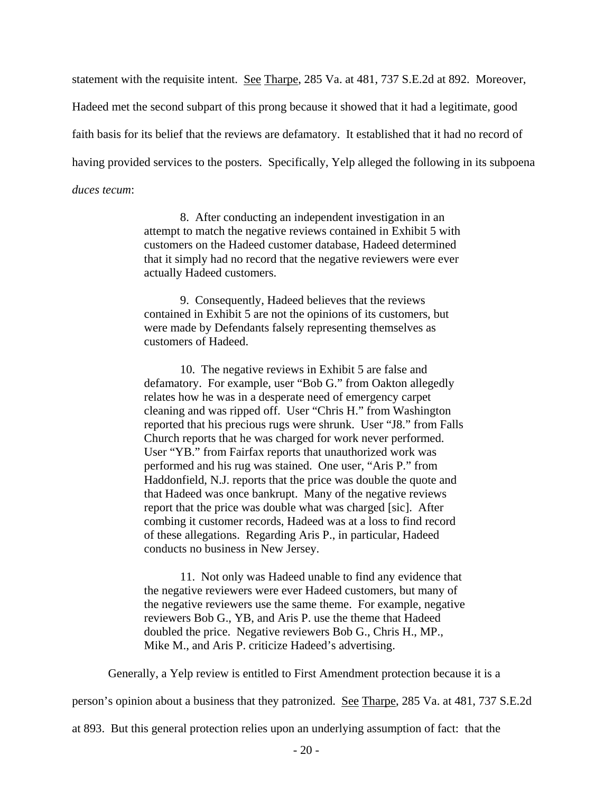statement with the requisite intent. See Tharpe, 285 Va. at 481, 737 S.E.2d at 892. Moreover, Hadeed met the second subpart of this prong because it showed that it had a legitimate, good faith basis for its belief that the reviews are defamatory. It established that it had no record of having provided services to the posters. Specifically, Yelp alleged the following in its subpoena *duces tecum*:

> 8. After conducting an independent investigation in an attempt to match the negative reviews contained in Exhibit 5 with customers on the Hadeed customer database, Hadeed determined that it simply had no record that the negative reviewers were ever actually Hadeed customers.

9. Consequently, Hadeed believes that the reviews contained in Exhibit 5 are not the opinions of its customers, but were made by Defendants falsely representing themselves as customers of Hadeed.

10. The negative reviews in Exhibit 5 are false and defamatory. For example, user "Bob G." from Oakton allegedly relates how he was in a desperate need of emergency carpet cleaning and was ripped off. User "Chris H." from Washington reported that his precious rugs were shrunk. User "J8." from Falls Church reports that he was charged for work never performed. User "YB." from Fairfax reports that unauthorized work was performed and his rug was stained. One user, "Aris P." from Haddonfield, N.J. reports that the price was double the quote and that Hadeed was once bankrupt. Many of the negative reviews report that the price was double what was charged [sic]. After combing it customer records, Hadeed was at a loss to find record of these allegations. Regarding Aris P., in particular, Hadeed conducts no business in New Jersey.

11. Not only was Hadeed unable to find any evidence that the negative reviewers were ever Hadeed customers, but many of the negative reviewers use the same theme. For example, negative reviewers Bob G., YB, and Aris P. use the theme that Hadeed doubled the price. Negative reviewers Bob G., Chris H., MP., Mike M., and Aris P. criticize Hadeed's advertising.

Generally, a Yelp review is entitled to First Amendment protection because it is a

person's opinion about a business that they patronized. See Tharpe, 285 Va. at 481, 737 S.E.2d

at 893. But this general protection relies upon an underlying assumption of fact: that the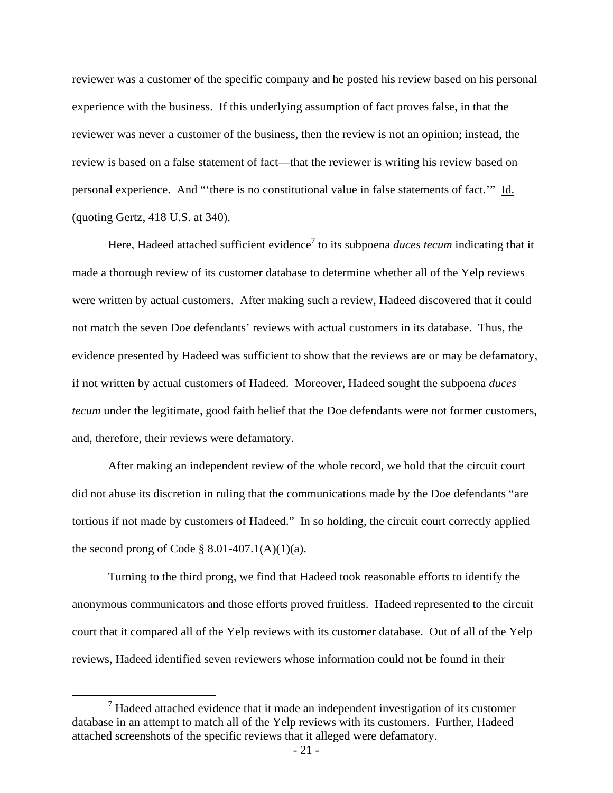reviewer was a customer of the specific company and he posted his review based on his personal experience with the business. If this underlying assumption of fact proves false, in that the reviewer was never a customer of the business, then the review is not an opinion; instead, the review is based on a false statement of fact—that the reviewer is writing his review based on personal experience. And "'there is no constitutional value in false statements of fact.'" Id. (quoting Gertz, 418 U.S. at 340).

Here, Hadeed attached sufficient evidence<sup>7</sup> to its subpoena *duces tecum* indicating that it made a thorough review of its customer database to determine whether all of the Yelp reviews were written by actual customers. After making such a review, Hadeed discovered that it could not match the seven Doe defendants' reviews with actual customers in its database. Thus, the evidence presented by Hadeed was sufficient to show that the reviews are or may be defamatory, if not written by actual customers of Hadeed. Moreover, Hadeed sought the subpoena *duces tecum* under the legitimate, good faith belief that the Doe defendants were not former customers, and, therefore, their reviews were defamatory.

After making an independent review of the whole record, we hold that the circuit court did not abuse its discretion in ruling that the communications made by the Doe defendants "are tortious if not made by customers of Hadeed." In so holding, the circuit court correctly applied the second prong of Code  $\S$  8.01-407.1(A)(1)(a).

Turning to the third prong, we find that Hadeed took reasonable efforts to identify the anonymous communicators and those efforts proved fruitless. Hadeed represented to the circuit court that it compared all of the Yelp reviews with its customer database. Out of all of the Yelp reviews, Hadeed identified seven reviewers whose information could not be found in their

 $\frac{1}{7}$  $\mu$ <sup>7</sup> Hadeed attached evidence that it made an independent investigation of its customer database in an attempt to match all of the Yelp reviews with its customers. Further, Hadeed attached screenshots of the specific reviews that it alleged were defamatory.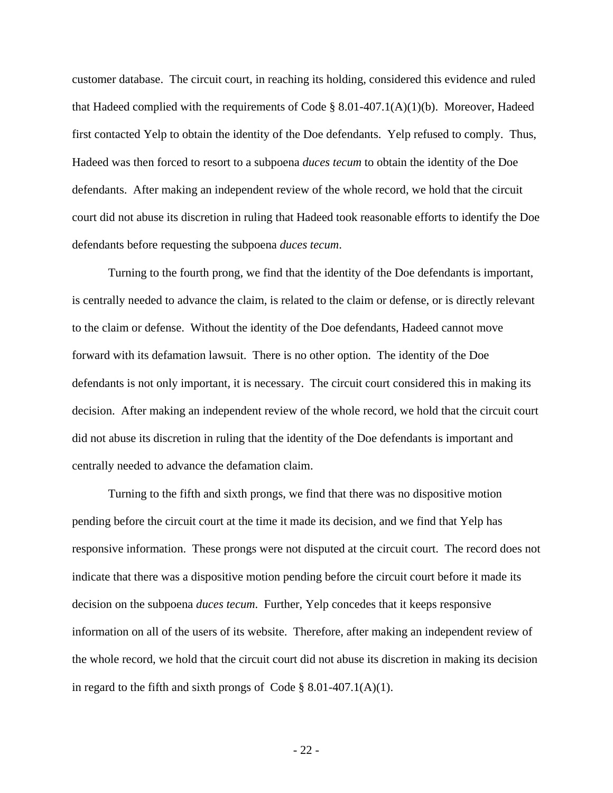customer database. The circuit court, in reaching its holding, considered this evidence and ruled that Hadeed complied with the requirements of Code § 8.01-407.1(A)(1)(b). Moreover, Hadeed first contacted Yelp to obtain the identity of the Doe defendants. Yelp refused to comply. Thus, Hadeed was then forced to resort to a subpoena *duces tecum* to obtain the identity of the Doe defendants. After making an independent review of the whole record, we hold that the circuit court did not abuse its discretion in ruling that Hadeed took reasonable efforts to identify the Doe defendants before requesting the subpoena *duces tecum*.

Turning to the fourth prong, we find that the identity of the Doe defendants is important, is centrally needed to advance the claim, is related to the claim or defense, or is directly relevant to the claim or defense. Without the identity of the Doe defendants, Hadeed cannot move forward with its defamation lawsuit. There is no other option. The identity of the Doe defendants is not only important, it is necessary. The circuit court considered this in making its decision. After making an independent review of the whole record, we hold that the circuit court did not abuse its discretion in ruling that the identity of the Doe defendants is important and centrally needed to advance the defamation claim.

Turning to the fifth and sixth prongs, we find that there was no dispositive motion pending before the circuit court at the time it made its decision, and we find that Yelp has responsive information. These prongs were not disputed at the circuit court. The record does not indicate that there was a dispositive motion pending before the circuit court before it made its decision on the subpoena *duces tecum*. Further, Yelp concedes that it keeps responsive information on all of the users of its website. Therefore, after making an independent review of the whole record, we hold that the circuit court did not abuse its discretion in making its decision in regard to the fifth and sixth prongs of Code  $\S 8.01-407.1(A)(1)$ .

- 22 -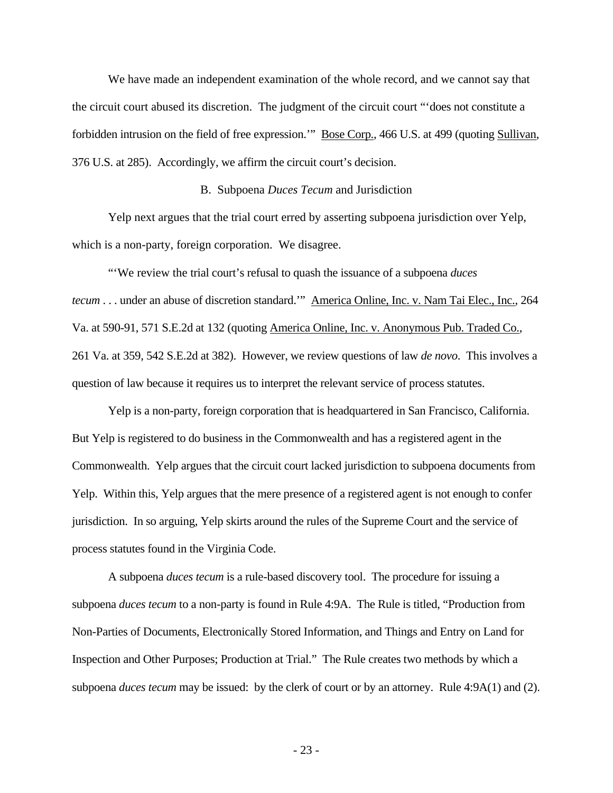We have made an independent examination of the whole record, and we cannot say that the circuit court abused its discretion. The judgment of the circuit court "'does not constitute a forbidden intrusion on the field of free expression.'" Bose Corp., 466 U.S. at 499 (quoting Sullivan, 376 U.S. at 285). Accordingly, we affirm the circuit court's decision.

#### B. Subpoena *Duces Tecum* and Jurisdiction

 Yelp next argues that the trial court erred by asserting subpoena jurisdiction over Yelp, which is a non-party, foreign corporation. We disagree.

 "'We review the trial court's refusal to quash the issuance of a subpoena *duces tecum* . . . under an abuse of discretion standard." America Online, Inc. v. Nam Tai Elec., Inc., 264 Va. at 590-91, 571 S.E.2d at 132 (quoting America Online, Inc. v. Anonymous Pub. Traded Co., 261 Va. at 359, 542 S.E.2d at 382). However, we review questions of law *de novo*. This involves a question of law because it requires us to interpret the relevant service of process statutes.

 Yelp is a non-party, foreign corporation that is headquartered in San Francisco, California. But Yelp is registered to do business in the Commonwealth and has a registered agent in the Commonwealth. Yelp argues that the circuit court lacked jurisdiction to subpoena documents from Yelp. Within this, Yelp argues that the mere presence of a registered agent is not enough to confer jurisdiction. In so arguing, Yelp skirts around the rules of the Supreme Court and the service of process statutes found in the Virginia Code.

A subpoena *duces tecum* is a rule-based discovery tool. The procedure for issuing a subpoena *duces tecum* to a non-party is found in Rule 4:9A. The Rule is titled, "Production from Non-Parties of Documents, Electronically Stored Information, and Things and Entry on Land for Inspection and Other Purposes; Production at Trial." The Rule creates two methods by which a subpoena *duces tecum* may be issued: by the clerk of court or by an attorney. Rule 4:9A(1) and (2).

- 23 -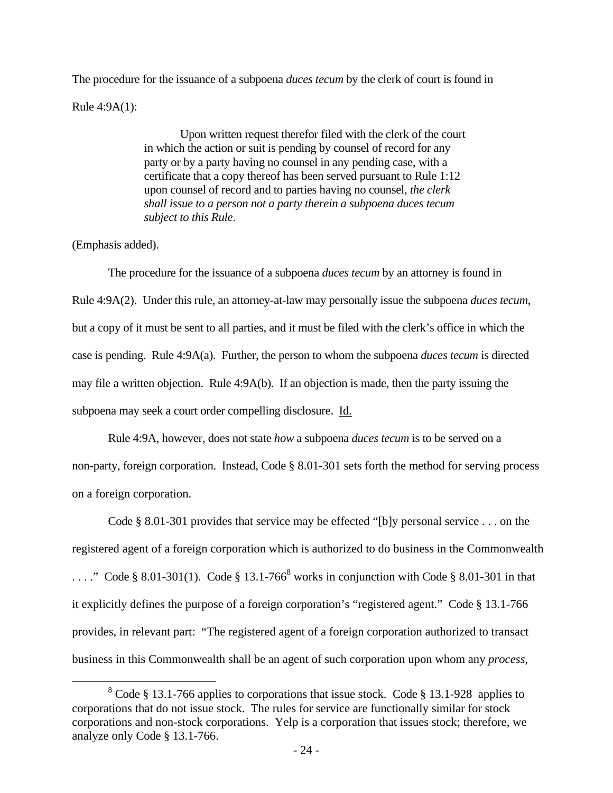The procedure for the issuance of a subpoena *duces tecum* by the clerk of court is found in Rule 4:9A(1):

> Upon written request therefor filed with the clerk of the court in which the action or suit is pending by counsel of record for any party or by a party having no counsel in any pending case, with a certificate that a copy thereof has been served pursuant to Rule 1:12 upon counsel of record and to parties having no counsel, *the clerk shall issue to a person not a party therein a subpoena duces tecum subject to this Rule*.

# (Emphasis added).

The procedure for the issuance of a subpoena *duces tecum* by an attorney is found in Rule 4:9A(2). Under this rule, an attorney-at-law may personally issue the subpoena *duces tecum*, but a copy of it must be sent to all parties, and it must be filed with the clerk's office in which the case is pending. Rule 4:9A(a). Further, the person to whom the subpoena *duces tecum* is directed may file a written objection. Rule 4:9A(b). If an objection is made, then the party issuing the subpoena may seek a court order compelling disclosure. Id.

Rule 4:9A, however, does not state *how* a subpoena *duces tecum* is to be served on a non-party, foreign corporation. Instead, Code § 8.01-301 sets forth the method for serving process on a foreign corporation.

Code § 8.01-301 provides that service may be effected "[b]y personal service . . . on the registered agent of a foreign corporation which is authorized to do business in the Commonwealth ...." Code § 8.01-301(1). Code § 13.1-766<sup>8</sup> works in conjunction with Code § 8.01-301 in that it explicitly defines the purpose of a foreign corporation's "registered agent." Code § 13.1-766 provides, in relevant part: "The registered agent of a foreign corporation authorized to transact business in this Commonwealth shall be an agent of such corporation upon whom any *process,* 

 <sup>8</sup> <sup>8</sup> Code § 13.1-766 applies to corporations that issue stock. Code § 13.1-928 applies to corporations that do not issue stock. The rules for service are functionally similar for stock corporations and non-stock corporations. Yelp is a corporation that issues stock; therefore, we analyze only Code § 13.1-766.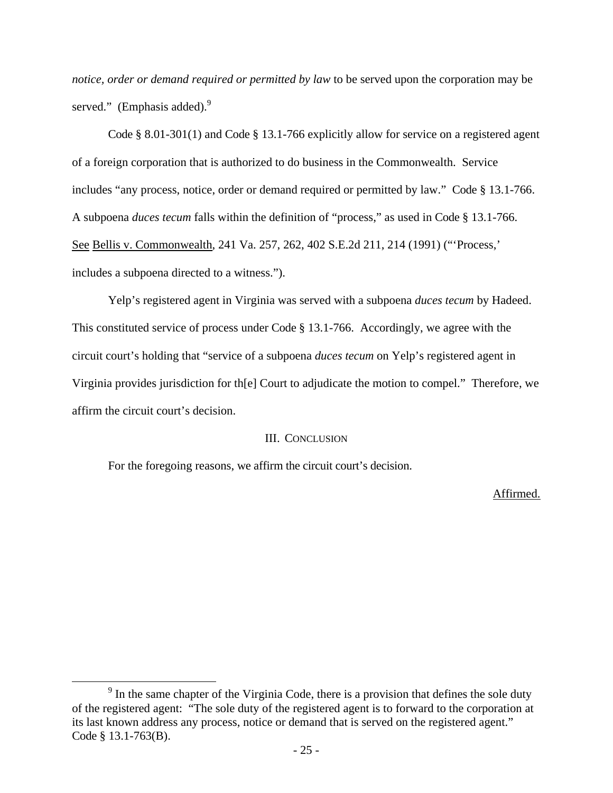*notice, order or demand required or permitted by law* to be served upon the corporation may be served." (Emphasis added). $9$ 

Code § 8.01-301(1) and Code § 13.1-766 explicitly allow for service on a registered agent of a foreign corporation that is authorized to do business in the Commonwealth. Service includes "any process, notice, order or demand required or permitted by law." Code § 13.1-766. A subpoena *duces tecum* falls within the definition of "process," as used in Code § 13.1-766. See Bellis v. Commonwealth, 241 Va. 257, 262, 402 S.E.2d 211, 214 (1991) ("'Process,' includes a subpoena directed to a witness.").

 Yelp's registered agent in Virginia was served with a subpoena *duces tecum* by Hadeed. This constituted service of process under Code § 13.1-766. Accordingly, we agree with the circuit court's holding that "service of a subpoena *duces tecum* on Yelp's registered agent in Virginia provides jurisdiction for th[e] Court to adjudicate the motion to compel." Therefore, we affirm the circuit court's decision.

### III. CONCLUSION

For the foregoing reasons, we affirm the circuit court's decision.

Affirmed.

 $\frac{1}{\sqrt{9}}$  $<sup>9</sup>$  In the same chapter of the Virginia Code, there is a provision that defines the sole duty</sup> of the registered agent: "The sole duty of the registered agent is to forward to the corporation at its last known address any process, notice or demand that is served on the registered agent." Code § 13.1-763(B).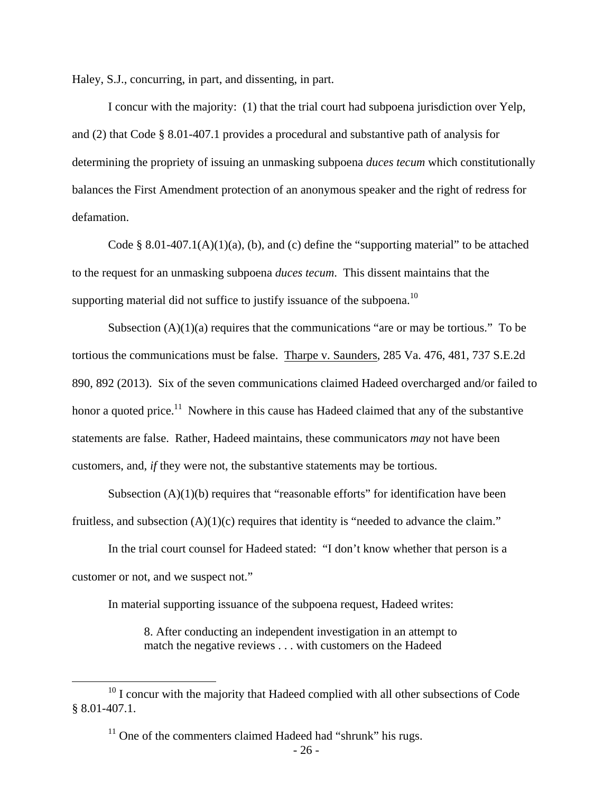Haley, S.J., concurring, in part, and dissenting, in part.

 I concur with the majority: (1) that the trial court had subpoena jurisdiction over Yelp, and (2) that Code § 8.01-407.1 provides a procedural and substantive path of analysis for determining the propriety of issuing an unmasking subpoena *duces tecum* which constitutionally balances the First Amendment protection of an anonymous speaker and the right of redress for defamation.

Code § 8.01-407.1(A)(1)(a), (b), and (c) define the "supporting material" to be attached to the request for an unmasking subpoena *duces tecum*. This dissent maintains that the supporting material did not suffice to justify issuance of the subpoena.<sup>10</sup>

Subsection  $(A)(1)(a)$  requires that the communications "are or may be tortious." To be tortious the communications must be false. Tharpe v. Saunders, 285 Va. 476, 481, 737 S.E.2d 890, 892 (2013). Six of the seven communications claimed Hadeed overcharged and/or failed to honor a quoted price.<sup>11</sup> Nowhere in this cause has Hadeed claimed that any of the substantive statements are false. Rather, Hadeed maintains, these communicators *may* not have been customers, and, *if* they were not, the substantive statements may be tortious.

Subsection  $(A)(1)(b)$  requires that "reasonable efforts" for identification have been fruitless, and subsection  $(A)(1)(c)$  requires that identity is "needed to advance the claim."

 In the trial court counsel for Hadeed stated: "I don't know whether that person is a customer or not, and we suspect not."

In material supporting issuance of the subpoena request, Hadeed writes:

8. After conducting an independent investigation in an attempt to match the negative reviews . . . with customers on the Hadeed

<sup>&</sup>lt;sup>10</sup> I concur with the majority that Hadeed complied with all other subsections of Code § 8.01-407.1.

 $11$  One of the commenters claimed Hadeed had "shrunk" his rugs.